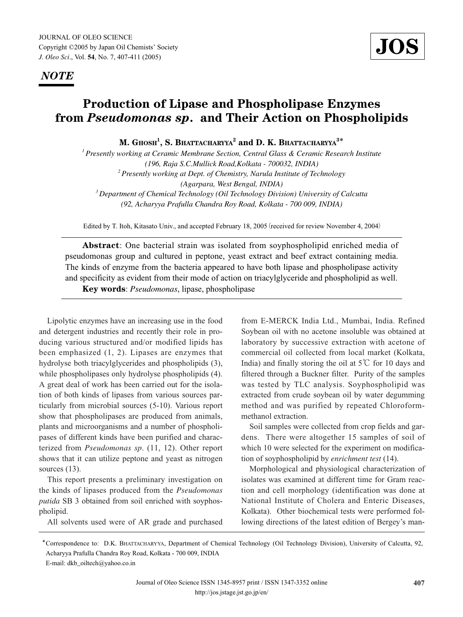*NOTE*

## **JOS**

## **Production of Lipase and Phospholipase Enzymes from** *Pseudomonas sp***. and Their Action on Phospholipids**

**M. GHOSH1 , S. BHATTACHARYYA<sup>2</sup> and D. K. BHATTACHARYYA<sup>3</sup>**\*

*1 Presently working at Ceramic Membrane Section, Central Glass & Ceramic Research Institute (196, Raja S.C.Mullick Road,Kolkata - 700032, INDIA) 2 Presently working at Dept. of Chemistry, Narula Institute of Technology (Agarpara, West Bengal, INDIA) 3 Department of Chemical Technology (Oil Technology Division) University of Calcutta (92, Acharyya Prafulla Chandra Roy Road, Kolkata - 700 009, INDIA)* 

Edited by T. Itoh, Kitasato Univ., and accepted February 18, 2005 (received for review November 4, 2004)

**Abstract**: One bacterial strain was isolated from soyphospholipid enriched media of pseudomonas group and cultured in peptone, yeast extract and beef extract containing media. The kinds of enzyme from the bacteria appeared to have both lipase and phospholipase activity and specificity as evident from their mode of action on triacylglyceride and phospholipid as well. **Key words**: *Pseudomonas*, lipase, phospholipase

Lipolytic enzymes have an increasing use in the food and detergent industries and recently their role in producing various structured and/or modified lipids has been emphasized (1, 2). Lipases are enzymes that hydrolyse both triacylglycerides and phospholipids (3), while phospholipases only hydrolyse phospholipids (4). A great deal of work has been carried out for the isolation of both kinds of lipases from various sources particularly from microbial sources (5-10). Various report show that phospholipases are produced from animals, plants and microorganisms and a number of phospholipases of different kinds have been purified and characterized from *Pseudomonas sp*. (11, 12). Other report shows that it can utilize peptone and yeast as nitrogen sources  $(13)$ .

This report presents a preliminary investigation on the kinds of lipases produced from the *Pseudomonas putida* SB 3 obtained from soil enriched with soyphospholipid.

All solvents used were of AR grade and purchased

from E-MERCK India Ltd., Mumbai, India. Refined Soybean oil with no acetone insoluble was obtained at laboratory by successive extraction with acetone of commercial oil collected from local market (Kolkata, India) and finally storing the oil at  $5^{\circ}$  for 10 days and filtered through a Buckner filter. Purity of the samples was tested by TLC analysis. Soyphospholipid was extracted from crude soybean oil by water degumming method and was purified by repeated Chloroformmethanol extraction.

Soil samples were collected from crop fields and gardens. There were altogether 15 samples of soil of which 10 were selected for the experiment on modification of soyphospholipid by *enrichment test* (14).

Morphological and physiological characterization of isolates was examined at different time for Gram reaction and cell morphology (identification was done at National Institute of Cholera and Enteric Diseases, Kolkata). Other biochemical tests were performed following directions of the latest edition of Bergey's man-

<sup>\*</sup>Correspondence to: D.K. BHATTACHARYYA, Department of Chemical Technology (Oil Technology Division), University of Calcutta, 92, Acharyya Prafulla Chandra Roy Road, Kolkata - 700 009, INDIA

E-mail: dkb\_oiltech@yahoo.co.in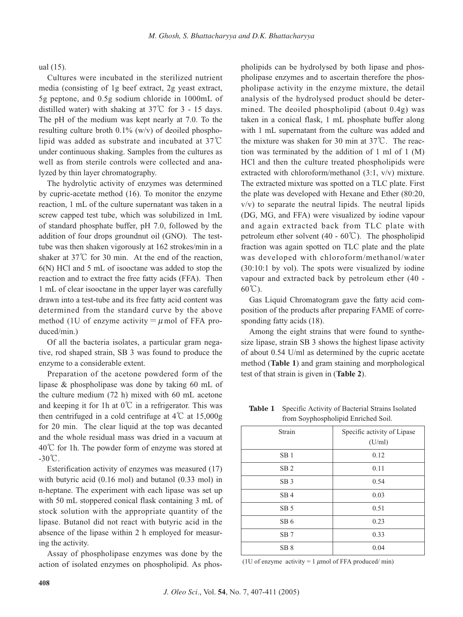ual (15).

Cultures were incubated in the sterilized nutrient media (consisting of 1g beef extract, 2g yeast extract, 5g peptone, and 0.5g sodium chloride in 1000mL of distilled water) with shaking at  $37^{\circ}$  for 3 - 15 days. The pH of the medium was kept nearly at 7.0. To the resulting culture broth  $0.1\%$  (w/v) of deoiled phospholipid was added as substrate and incubated at 37℃ under continuous shaking. Samples from the cultures as well as from sterile controls were collected and analyzed by thin layer chromatography.

The hydrolytic activity of enzymes was determined by cupric-acetate method (16). To monitor the enzyme reaction, 1 mL of the culture supernatant was taken in a screw capped test tube, which was solubilized in 1mL of standard phosphate buffer, pH 7.0, followed by the addition of four drops groundnut oil (GNO). The testtube was then shaken vigorously at 162 strokes/min in a shaker at 37℃ for 30 min. At the end of the reaction, 6(N) HCl and 5 mL of isooctane was added to stop the reaction and to extract the free fatty acids (FFA). Then 1 mL of clear isooctane in the upper layer was carefully drawn into a test-tube and its free fatty acid content was determined from the standard curve by the above method (1U of enzyme activity  $= \mu$  mol of FFA produced/min.)

Of all the bacteria isolates, a particular gram negative, rod shaped strain, SB 3 was found to produce the enzyme to a considerable extent.

Preparation of the acetone powdered form of the lipase & phospholipase was done by taking 60 mL of the culture medium (72 h) mixed with 60 mL acetone and keeping it for 1h at  $0^{\circ}$  in a refrigerator. This was then centrifuged in a cold centrifuge at  $4^{\circ}$ C at  $15,000g$ for 20 min. The clear liquid at the top was decanted and the whole residual mass was dried in a vacuum at 40℃ for 1h. The powder form of enzyme was stored at  $-30^{\circ}$ 

Esterification activity of enzymes was measured (17) with butyric acid (0.16 mol) and butanol (0.33 mol) in n-heptane. The experiment with each lipase was set up with 50 mL stoppered conical flask containing 3 mL of stock solution with the appropriate quantity of the lipase. Butanol did not react with butyric acid in the absence of the lipase within 2 h employed for measuring the activity.

Assay of phospholipase enzymes was done by the action of isolated enzymes on phospholipid. As phospholipids can be hydrolysed by both lipase and phospholipase enzymes and to ascertain therefore the phospholipase activity in the enzyme mixture, the detail analysis of the hydrolysed product should be determined. The deoiled phospholipid (about 0.4g) was taken in a conical flask, 1 mL phosphate buffer along with 1 mL supernatant from the culture was added and the mixture was shaken for 30 min at 37℃. The reaction was terminated by the addition of 1 ml of 1 (M) HCl and then the culture treated phospholipids were extracted with chloroform/methanol (3:1, v/v) mixture. The extracted mixture was spotted on a TLC plate. First the plate was developed with Hexane and Ether (80:20, v/v) to separate the neutral lipids. The neutral lipids (DG, MG, and FFA) were visualized by iodine vapour and again extracted back from TLC plate with petroleum ether solvent (40 -  $60^{\circ}$ C). The phospholipid fraction was again spotted on TLC plate and the plate was developed with chloroform/methanol/water (30:10:1 by vol). The spots were visualized by iodine vapour and extracted back by petroleum ether (40 - 60℃).

Gas Liquid Chromatogram gave the fatty acid composition of the products after preparing FAME of corresponding fatty acids (18).

Among the eight strains that were found to synthesize lipase, strain SB 3 shows the highest lipase activity of about 0.54 U/ml as determined by the cupric acetate method (**Table 1**) and gram staining and morphological test of that strain is given in (**Table 2**).

| . .<br>$\overline{\phantom{a}}$ |                                       |  |
|---------------------------------|---------------------------------------|--|
| Strain                          | Specific activity of Lipase<br>(U/ml) |  |
| SB <sub>1</sub>                 | 0.12                                  |  |
| SB <sub>2</sub>                 | 0.11                                  |  |
| SB <sub>3</sub>                 | 0.54                                  |  |
| SB <sub>4</sub>                 | 0.03                                  |  |
| SB <sub>5</sub>                 | 0.51                                  |  |
| SB <sub>6</sub>                 | 0.23                                  |  |
| SB <sub>7</sub>                 | 0.33                                  |  |
| SB <sub>8</sub>                 | 0.04                                  |  |

**Table 1** Specific Activity of Bacterial Strains Isolated from Soyphospholipid Enriched Soil.

(1U of enzyme activity = 1  $\mu$ mol of FFA produced/ min)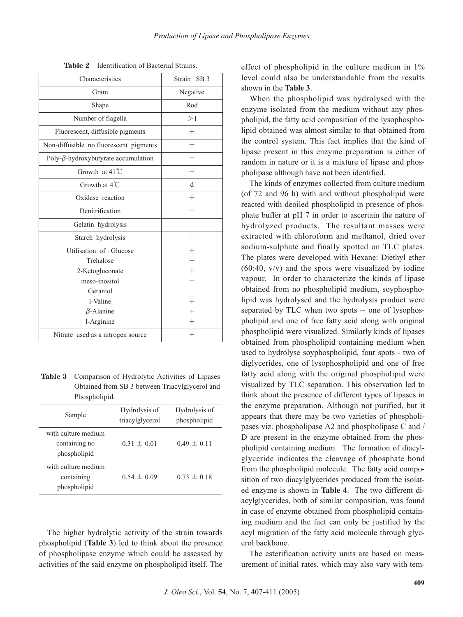| Characteristics                             | Strain<br>SB <sub>3</sub> |  |
|---------------------------------------------|---------------------------|--|
| Gram                                        | Negative                  |  |
| Shape                                       | Rod                       |  |
| Number of flagella                          | >1                        |  |
| Fluorescent, diffusible pigments<br>$^{+}$  |                           |  |
| Non-diffusible no fluorescent pigments      |                           |  |
| Poly- $\beta$ -hydroxybutyrate accumulation |                           |  |
| Growth at $41^{\circ}$ C                    |                           |  |
| Growth at 4°C                               | d                         |  |
| Oxidase reaction                            | $^+$                      |  |
| Denitrification                             |                           |  |
| Gelatin hydrolysis                          |                           |  |
| Starch hydrolysis                           |                           |  |
| Utilisation of: Glucose                     | $^+$                      |  |
| Trehalose                                   |                           |  |
| 2-Ketogluconate                             | $^{+}$                    |  |
| meso-inositol                               |                           |  |
| Geraniol                                    |                           |  |
| 1-Valine                                    | $^{+}$                    |  |
| $\beta$ -Alanine                            | $^{+}$                    |  |
| l-Arginine                                  | $^+$                      |  |
| Nitrate used as a nitrogen source           | $^+$                      |  |

**Table 2** Identification of Bacterial Strains.

Table 3 Comparison of Hydrolytic Activities of Lipases Obtained from SB 3 between Triacylglycerol and Phospholipid.

| Sample                                               | Hydrolysis of<br>triacylglycerol | Hydrolysis of<br>phospholipid |
|------------------------------------------------------|----------------------------------|-------------------------------|
| with culture medium<br>containing no<br>phospholipid | $0.31 \pm 0.01$                  | $0.49 \pm 0.11$               |
| with culture medium<br>containing<br>phospholipid    | $0.54 \pm 0.09$                  | $0.73 + 0.18$                 |

The higher hydrolytic activity of the strain towards phospholipid (**Table 3**) led to think about the presence of phospholipase enzyme which could be assessed by activities of the said enzyme on phospholipid itself. The effect of phospholipid in the culture medium in  $1\%$ level could also be understandable from the results shown in the **Table 3**.

When the phospholipid was hydrolysed with the enzyme isolated from the medium without any phospholipid, the fatty acid composition of the lysophospholipid obtained was almost similar to that obtained from the control system. This fact implies that the kind of lipase present in this enzyme preparation is either of random in nature or it is a mixture of lipase and phospholipase although have not been identified.

The kinds of enzymes collected from culture medium (of 72 and 96 h) with and without phospholipid were reacted with deoiled phospholipid in presence of phosphate buffer at pH 7 in order to ascertain the nature of hydrolyzed products. The resultant masses were extracted with chloroform and methanol, dried over sodium-sulphate and finally spotted on TLC plates. The plates were developed with Hexane: Diethyl ether  $(60:40, v/v)$  and the spots were visualized by iodine vapour. In order to characterize the kinds of lipase obtained from no phospholipid medium, soyphospholipid was hydrolysed and the hydrolysis product were separated by TLC when two spots -- one of lysophospholipid and one of free fatty acid along with original phospholipid were visualized. Similarly kinds of lipases obtained from phospholipid containing medium when used to hydrolyse soyphospholipid, four spots - two of diglycerides, one of lysophospholipid and one of free fatty acid along with the original phospholipid were visualized by TLC separation. This observation led to think about the presence of different types of lipases in the enzyme preparation. Although not purified, but it appears that there may be two varieties of phospholipases viz. phospholipase A2 and phospholipase C and / D are present in the enzyme obtained from the phospholipid containing medium. The formation of diacylglyceride indicates the cleavage of phosphate bond from the phospholipid molecule. The fatty acid composition of two diacylglycerides produced from the isolated enzyme is shown in **Table 4**. The two different diacylglycerides, both of similar composition, was found in case of enzyme obtained from phospholipid containing medium and the fact can only be justified by the acyl migration of the fatty acid molecule through glycerol backbone.

The esterification activity units are based on measurement of initial rates, which may also vary with tem-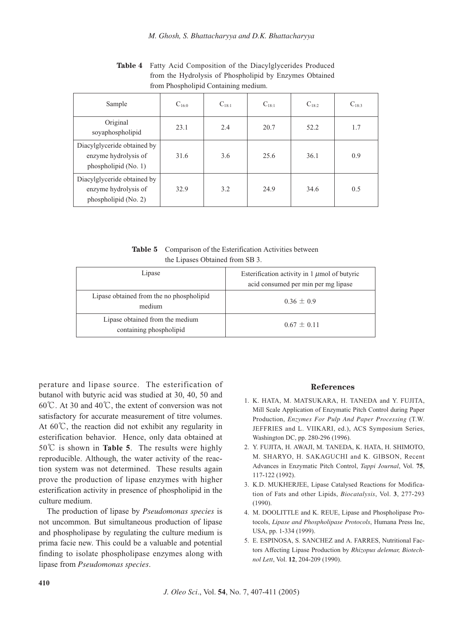| Sample                                                                      | $C_{16:0}$ | $C_{18:1}$ | $C_{18:1}$ | $C_{18:2}$ | $C_{18:3}$ |
|-----------------------------------------------------------------------------|------------|------------|------------|------------|------------|
| Original<br>soyaphospholipid                                                | 23.1       | 2.4        | 20.7       | 52.2       | 1.7        |
| Diacylglyceride obtained by<br>enzyme hydrolysis of<br>phospholipid (No. 1) | 31.6       | 3.6        | 25.6       | 36.1       | 0.9        |
| Diacylglyceride obtained by<br>enzyme hydrolysis of<br>phospholipid (No. 2) | 32.9       | 3.2        | 24.9       | 34.6       | 0.5        |

**Table 4** Fatty Acid Composition of the Diacylglycerides Produced from the Hydrolysis of Phospholipid by Enzymes Obtained from Phospholipid Containing medium.

Table 5 Comparison of the Esterification Activities between the Lipases Obtained from SB 3.

| Lipase                                                     | Esterification activity in 1 $\mu$ mol of butyric<br>acid consumed per min per mg lipase |
|------------------------------------------------------------|------------------------------------------------------------------------------------------|
| Lipase obtained from the no phospholipid<br>medium         | $0.36 \pm 0.9$                                                                           |
| Lipase obtained from the medium<br>containing phospholipid | $0.67 \pm 0.11$                                                                          |

perature and lipase source. The esterification of butanol with butyric acid was studied at 30, 40, 50 and 60℃. At 30 and 40℃, the extent of conversion was not satisfactory for accurate measurement of titre volumes. At 60℃, the reaction did not exhibit any regularity in esterification behavior. Hence, only data obtained at 50℃ is shown in **Table 5**. The results were highly reproducible. Although, the water activity of the reaction system was not determined. These results again prove the production of lipase enzymes with higher esterification activity in presence of phospholipid in the culture medium.

The production of lipase by *Pseudomonas species* is not uncommon. But simultaneous production of lipase and phospholipase by regulating the culture medium is prima facie new. This could be a valuable and potential finding to isolate phospholipase enzymes along with lipase from *Pseudomonas species*.

## **References**

- 1. K. HATA, M. MATSUKARA, H. TANEDA and Y. FUJITA, Mill Scale Application of Enzymatic Pitch Control during Paper Production, *Enzymes For Pulp And Paper Processing* (T.W. JEFFRIES and L. VIIKARI, ed.), ACS Symposium Series, Washington DC, pp. 280-296 (1996).
- 2. Y. FUJITA, H. AWAJI, M. TANEDA, K. HATA, H. SHIMOTO, M. SHARYO, H. SAKAGUCHI and K. GIBSON, Recent Advances in Enzymatic Pitch Control, *Tappi Journal*, Vol. **75**, 117-122 (1992).
- 3. K.D. MUKHERJEE, Lipase Catalysed Reactions for Modification of Fats and other Lipids, *Biocatalysis*, Vol. **3**, 277-293 (1990).
- 4. M. DOOLITTLE and K. REUE, Lipase and Phospholipase Protocols, *Lipase and Phospholipase Protocols*, Humana Press Inc, USA, pp. 1-334 (1999).
- 5. E. ESPINOSA, S. SANCHEZ and A. FARRES, Nutritional Factors Affecting Lipase Production by *Rhizopus delemar, Biotechnol Lett*, Vol. **12**, 204-209 (1990).